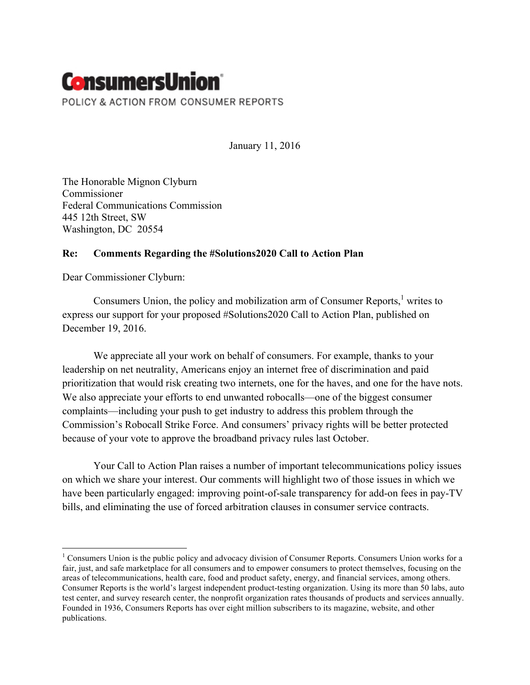## **ConsumersUnion**® POLICY & ACTION FROM CONSUMER REPORTS

January 11, 2016

The Honorable Mignon Clyburn **Commissioner** Federal Communications Commission 445 12th Street, SW Washington, DC 20554

## **Re: Comments Regarding the #Solutions2020 Call to Action Plan**

Dear Commissioner Clyburn:

Consumers Union, the policy and mobilization arm of Consumer Reports, $<sup>1</sup>$  writes to</sup> express our support for your proposed #Solutions2020 Call to Action Plan, published on December 19, 2016.

We appreciate all your work on behalf of consumers. For example, thanks to your leadership on net neutrality, Americans enjoy an internet free of discrimination and paid prioritization that would risk creating two internets, one for the haves, and one for the have nots. We also appreciate your efforts to end unwanted robocalls—one of the biggest consumer complaints—including your push to get industry to address this problem through the Commission's Robocall Strike Force. And consumers' privacy rights will be better protected because of your vote to approve the broadband privacy rules last October.

Your Call to Action Plan raises a number of important telecommunications policy issues on which we share your interest. Our comments will highlight two of those issues in which we have been particularly engaged: improving point-of-sale transparency for add-on fees in pay-TV bills, and eliminating the use of forced arbitration clauses in consumer service contracts.

<sup>&</sup>lt;sup>1</sup> Consumers Union is the public policy and advocacy division of Consumer Reports. Consumers Union works for a fair, just, and safe marketplace for all consumers and to empower consumers to protect themselves, focusing on the areas of telecommunications, health care, food and product safety, energy, and financial services, among others. Consumer Reports is the world's largest independent product-testing organization. Using its more than 50 labs, auto test center, and survey research center, the nonprofit organization rates thousands of products and services annually. Founded in 1936, Consumers Reports has over eight million subscribers to its magazine, website, and other publications.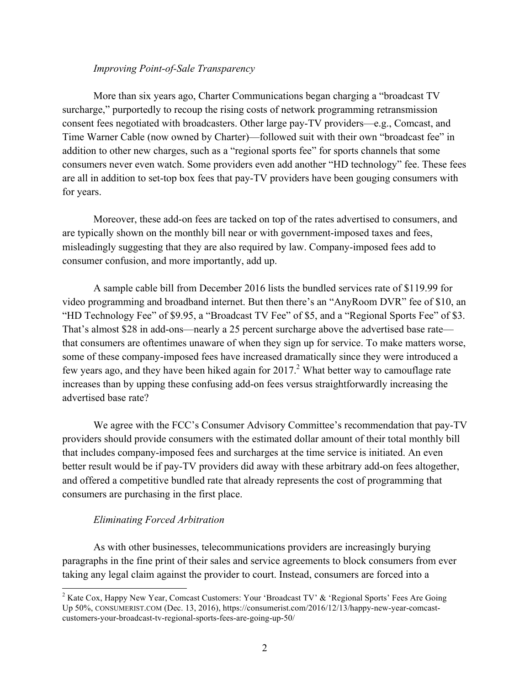## *Improving Point-of-Sale Transparency*

More than six years ago, Charter Communications began charging a "broadcast TV surcharge," purportedly to recoup the rising costs of network programming retransmission consent fees negotiated with broadcasters. Other large pay-TV providers—e.g., Comcast, and Time Warner Cable (now owned by Charter)—followed suit with their own "broadcast fee" in addition to other new charges, such as a "regional sports fee" for sports channels that some consumers never even watch. Some providers even add another "HD technology" fee. These fees are all in addition to set-top box fees that pay-TV providers have been gouging consumers with for years.

Moreover, these add-on fees are tacked on top of the rates advertised to consumers, and are typically shown on the monthly bill near or with government-imposed taxes and fees, misleadingly suggesting that they are also required by law. Company-imposed fees add to consumer confusion, and more importantly, add up.

A sample cable bill from December 2016 lists the bundled services rate of \$119.99 for video programming and broadband internet. But then there's an "AnyRoom DVR" fee of \$10, an "HD Technology Fee" of \$9.95, a "Broadcast TV Fee" of \$5, and a "Regional Sports Fee" of \$3. That's almost \$28 in add-ons—nearly a 25 percent surcharge above the advertised base rate that consumers are oftentimes unaware of when they sign up for service. To make matters worse, some of these company-imposed fees have increased dramatically since they were introduced a few years ago, and they have been hiked again for  $2017<sup>2</sup>$  What better way to camouflage rate increases than by upping these confusing add-on fees versus straightforwardly increasing the advertised base rate?

We agree with the FCC's Consumer Advisory Committee's recommendation that pay-TV providers should provide consumers with the estimated dollar amount of their total monthly bill that includes company-imposed fees and surcharges at the time service is initiated. An even better result would be if pay-TV providers did away with these arbitrary add-on fees altogether, and offered a competitive bundled rate that already represents the cost of programming that consumers are purchasing in the first place.

## *Eliminating Forced Arbitration*

As with other businesses, telecommunications providers are increasingly burying paragraphs in the fine print of their sales and service agreements to block consumers from ever taking any legal claim against the provider to court. Instead, consumers are forced into a

<sup>&</sup>lt;sup>2</sup> Kate Cox, Happy New Year, Comcast Customers: Your 'Broadcast TV' & 'Regional Sports' Fees Are Going Up 50%, CONSUMERIST.COM (Dec. 13, 2016), https://consumerist.com/2016/12/13/happy-new-year-comcastcustomers-your-broadcast-tv-regional-sports-fees-are-going-up-50/